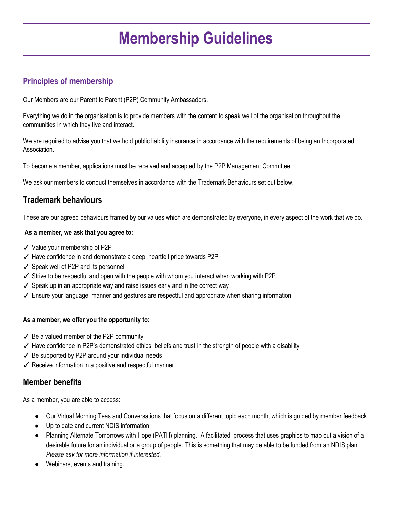# **Membership Guidelines**

# **Principles of membership**

Our Members are our Parent to Parent (P2P) Community Ambassadors.

Everything we do in the organisation is to provide members with the content to speak well of the organisation throughout the communities in which they live and interact.

We are required to advise you that we hold public liability insurance in accordance with the requirements of being an Incorporated Association.

To become a member, applications must be received and accepted by the P2P Management Committee.

We ask our members to conduct themselves in accordance with the Trademark Behaviours set out below.

# **Trademark behaviours**

These are our agreed behaviours framed by our values which are demonstrated by everyone, in every aspect of the work that we do.

#### **As a member, we ask that you agree to:**

- ✓ Value your membership of P2P
- ✓ Have confidence in and demonstrate a deep, heartfelt pride towards P2P
- ✓ Speak well of P2P and its personnel
- $\checkmark$  Strive to be respectful and open with the people with whom you interact when working with P2P
- ✓ Speak up in an appropriate way and raise issues early and in the correct way
- ✓ Ensure your language, manner and gestures are respectful and appropriate when sharing information.

#### **As a member, we offer you the opportunity to**:

- $\checkmark$  Be a valued member of the P2P community
- ✓ Have confidence in P2P's demonstrated ethics, beliefs and trust in the strength of people with a disability
- $\checkmark$  Be supported by P2P around your individual needs
- $\checkmark$  Receive information in a positive and respectful manner.

### **Member benefits**

As a member, you are able to access:

- Our Virtual Morning Teas and Conversations that focus on a different topic each month, which is guided by member feedback
- Up to date and current NDIS information
- Planning Alternate Tomorrows with Hope (PATH) planning. A facilitated process that uses graphics to map out a vision of a desirable future for an individual or a group of people. This is something that may be able to be funded from an NDIS plan. *Please ask for more information if interested.*
- Webinars, events and training.